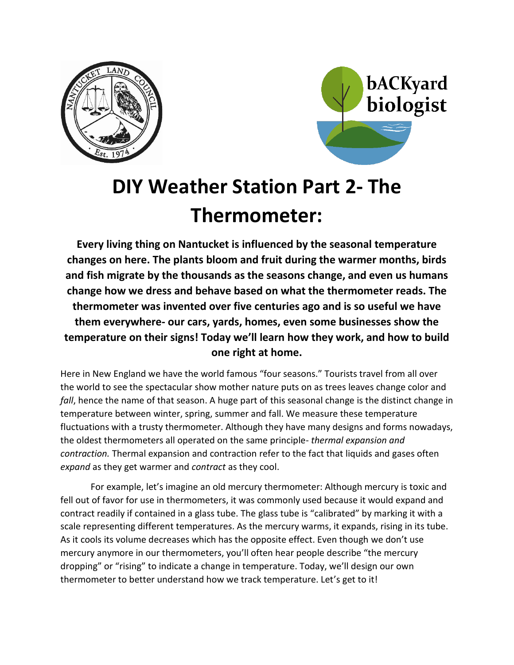



# **DIY Weather Station Part 2- The Thermometer:**

**Every living thing on Nantucket is influenced by the seasonal temperature changes on here. The plants bloom and fruit during the warmer months, birds and fish migrate by the thousands as the seasons change, and even us humans change how we dress and behave based on what the thermometer reads. The thermometer was invented over five centuries ago and is so useful we have them everywhere- our cars, yards, homes, even some businesses show the temperature on their signs! Today we'll learn how they work, and how to build one right at home.**

Here in New England we have the world famous "four seasons." Tourists travel from all over the world to see the spectacular show mother nature puts on as trees leaves change color and *fall*, hence the name of that season. A huge part of this seasonal change is the distinct change in temperature between winter, spring, summer and fall. We measure these temperature fluctuations with a trusty thermometer. Although they have many designs and forms nowadays, the oldest thermometers all operated on the same principle- *thermal expansion and contraction.* Thermal expansion and contraction refer to the fact that liquids and gases often *expand* as they get warmer and *contract* as they cool.

For example, let's imagine an old mercury thermometer: Although mercury is toxic and fell out of favor for use in thermometers, it was commonly used because it would expand and contract readily if contained in a glass tube. The glass tube is "calibrated" by marking it with a scale representing different temperatures. As the mercury warms, it expands, rising in its tube. As it cools its volume decreases which has the opposite effect. Even though we don't use mercury anymore in our thermometers, you'll often hear people describe "the mercury dropping" or "rising" to indicate a change in temperature. Today, we'll design our own thermometer to better understand how we track temperature. Let's get to it!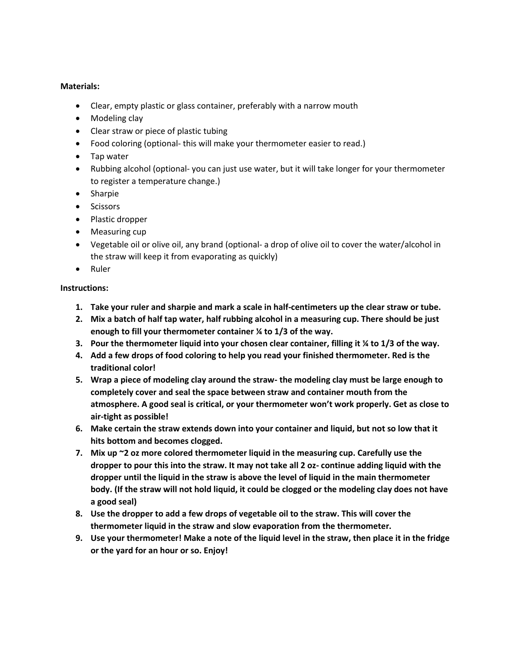#### **Materials:**

- Clear, empty plastic or glass container, preferably with a narrow mouth
- Modeling clay
- Clear straw or piece of plastic tubing
- Food coloring (optional- this will make your thermometer easier to read.)
- Tap water
- Rubbing alcohol (optional- you can just use water, but it will take longer for your thermometer to register a temperature change.)
- Sharpie
- Scissors
- Plastic dropper
- Measuring cup
- Vegetable oil or olive oil, any brand (optional- a drop of olive oil to cover the water/alcohol in the straw will keep it from evaporating as quickly)
- Ruler

### **Instructions:**

- **1. Take your ruler and sharpie and mark a scale in half-centimeters up the clear straw or tube.**
- **2. Mix a batch of half tap water, half rubbing alcohol in a measuring cup. There should be just enough to fill your thermometer container ¼ to 1/3 of the way.**
- **3. Pour the thermometer liquid into your chosen clear container, filling it ¼ to 1/3 of the way.**
- **4. Add a few drops of food coloring to help you read your finished thermometer. Red is the traditional color!**
- **5. Wrap a piece of modeling clay around the straw- the modeling clay must be large enough to completely cover and seal the space between straw and container mouth from the atmosphere. A good seal is critical, or your thermometer won't work properly. Get as close to air-tight as possible!**
- **6. Make certain the straw extends down into your container and liquid, but not so low that it hits bottom and becomes clogged.**
- **7. Mix up ~2 oz more colored thermometer liquid in the measuring cup. Carefully use the dropper to pour this into the straw. It may not take all 2 oz- continue adding liquid with the dropper until the liquid in the straw is above the level of liquid in the main thermometer body. (If the straw will not hold liquid, it could be clogged or the modeling clay does not have a good seal)**
- **8. Use the dropper to add a few drops of vegetable oil to the straw. This will cover the thermometer liquid in the straw and slow evaporation from the thermometer.**
- **9. Use your thermometer! Make a note of the liquid level in the straw, then place it in the fridge or the yard for an hour or so. Enjoy!**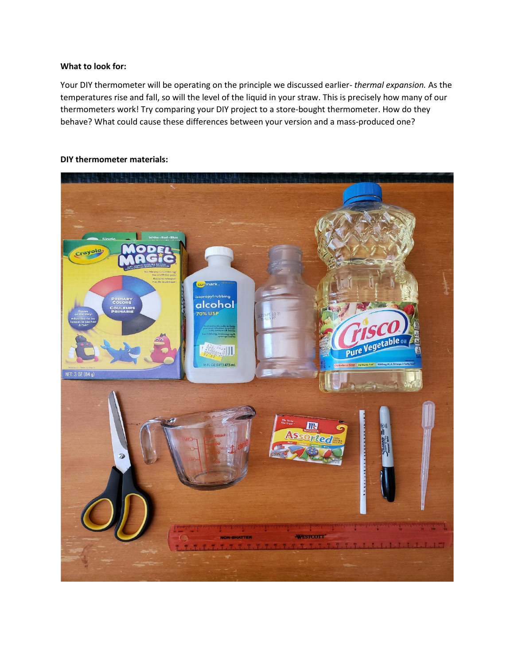#### **What to look for:**

Your DIY thermometer will be operating on the principle we discussed earlier- *thermal expansion.* As the temperatures rise and fall, so will the level of the liquid in your straw. This is precisely how many of our thermometers work! Try comparing your DIY project to a store-bought thermometer. How do they behave? What could cause these differences between your version and a mass-produced one?



#### **DIY thermometer materials:**